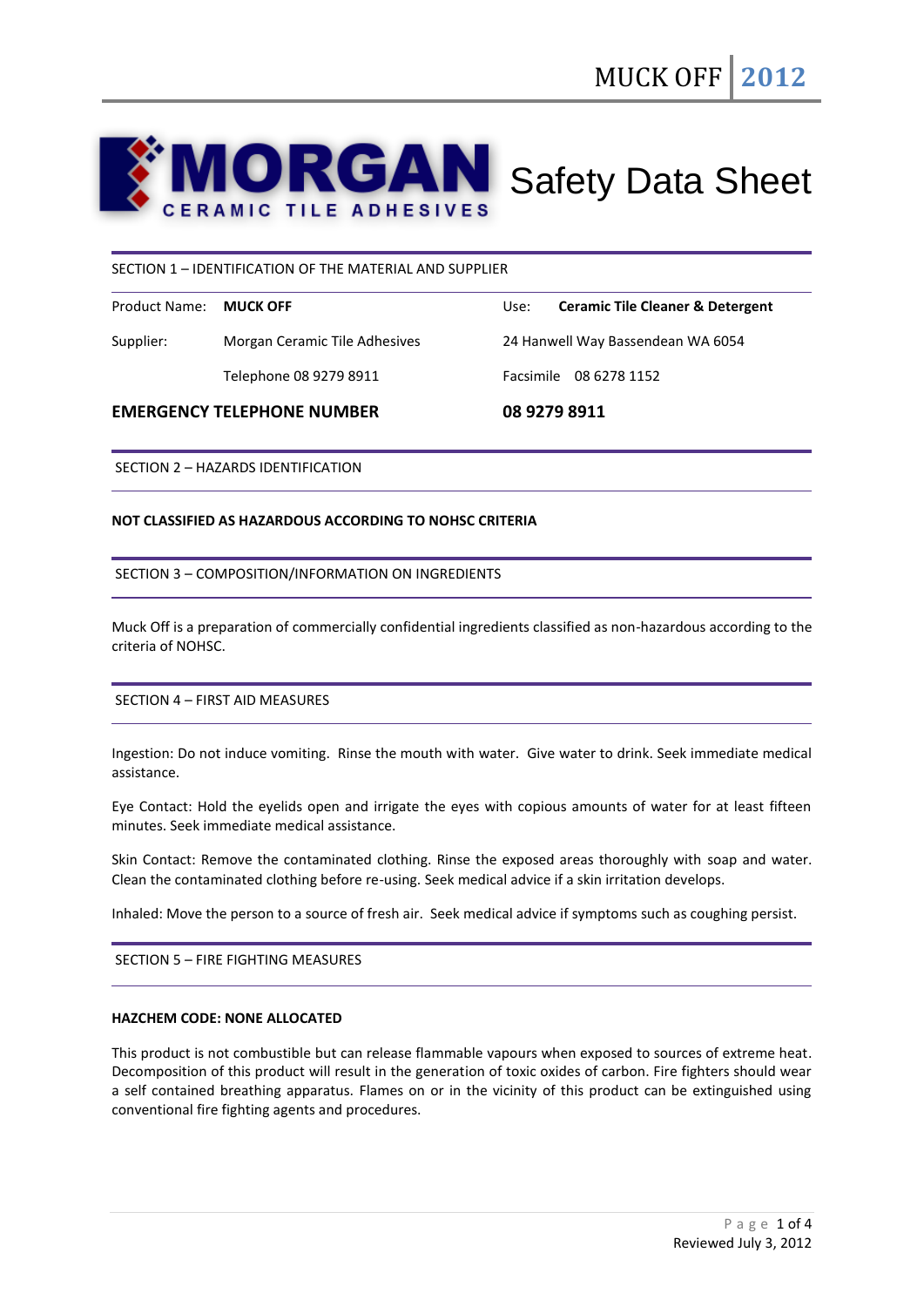

### SECTION 1 – IDENTIFICATION OF THE MATERIAL AND SUPPLIER

| Product Name: MUCK OFF |                               | Use: | <b>Ceramic Tile Cleaner &amp; Detergent</b> |
|------------------------|-------------------------------|------|---------------------------------------------|
| Supplier:              | Morgan Ceramic Tile Adhesives |      | 24 Hanwell Way Bassendean WA 6054           |
|                        | Telephone 08 9279 8911        |      | Facsimile 08 6278 1152                      |

### **EMERGENCY TELEPHONE NUMBER 08 9279 8911**

SECTION 2 – HAZARDS IDENTIFICATION

### **NOT CLASSIFIED AS HAZARDOUS ACCORDING TO NOHSC CRITERIA**

SECTION 3 – COMPOSITION/INFORMATION ON INGREDIENTS

Muck Off is a preparation of commercially confidential ingredients classified as non-hazardous according to the criteria of NOHSC.

SECTION 4 – FIRST AID MEASURES

Ingestion: Do not induce vomiting. Rinse the mouth with water. Give water to drink. Seek immediate medical assistance.

Eye Contact: Hold the eyelids open and irrigate the eyes with copious amounts of water for at least fifteen minutes. Seek immediate medical assistance.

Skin Contact: Remove the contaminated clothing. Rinse the exposed areas thoroughly with soap and water. Clean the contaminated clothing before re-using. Seek medical advice if a skin irritation develops.

Inhaled: Move the person to a source of fresh air. Seek medical advice if symptoms such as coughing persist.

SECTION 5 – FIRE FIGHTING MEASURES

#### **HAZCHEM CODE: NONE ALLOCATED**

This product is not combustible but can release flammable vapours when exposed to sources of extreme heat. Decomposition of this product will result in the generation of toxic oxides of carbon. Fire fighters should wear a self contained breathing apparatus. Flames on or in the vicinity of this product can be extinguished using conventional fire fighting agents and procedures.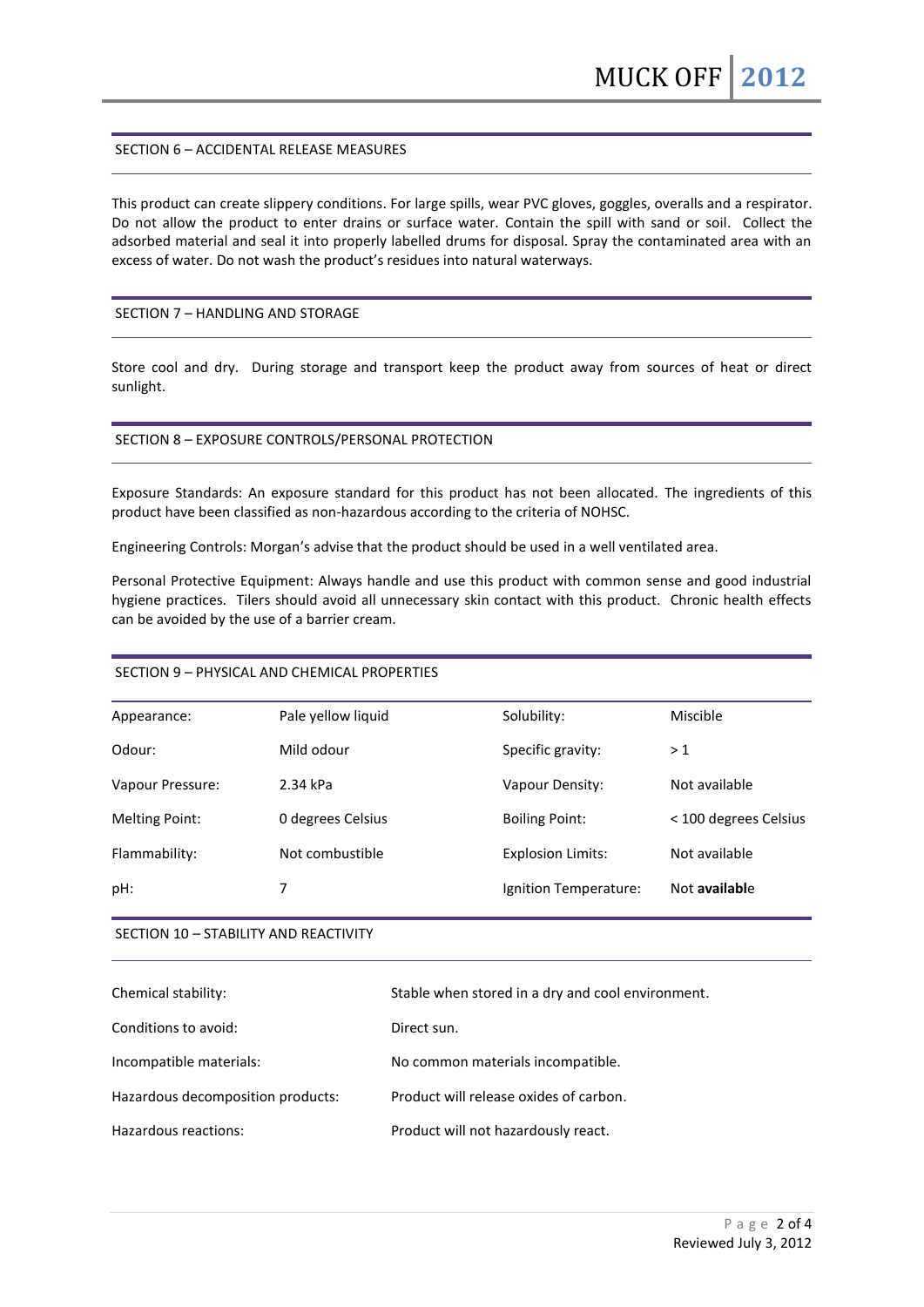### SECTION 6 – ACCIDENTAL RELEASE MEASURES

This product can create slippery conditions. For large spills, wear PVC gloves, goggles, overalls and a respirator. Do not allow the product to enter drains or surface water. Contain the spill with sand or soil. Collect the adsorbed material and seal it into properly labelled drums for disposal. Spray the contaminated area with an excess of water. Do not wash the product's residues into natural waterways.

### SECTION 7 – HANDLING AND STORAGE

Store cool and dry. During storage and transport keep the product away from sources of heat or direct sunlight.

### SECTION 8 – EXPOSURE CONTROLS/PERSONAL PROTECTION

Exposure Standards: An exposure standard for this product has not been allocated. The ingredients of this product have been classified as non-hazardous according to the criteria of NOHSC.

Engineering Controls: Morgan's advise that the product should be used in a well ventilated area.

Personal Protective Equipment: Always handle and use this product with common sense and good industrial hygiene practices. Tilers should avoid all unnecessary skin contact with this product. Chronic health effects can be avoided by the use of a barrier cream.

## SECTION 9 – PHYSICAL AND CHEMICAL PROPERTIES

| Appearance:           | Pale yellow liquid | Solubility:              | Miscible              |
|-----------------------|--------------------|--------------------------|-----------------------|
| Odour:                | Mild odour         | Specific gravity:        | >1                    |
| Vapour Pressure:      | 2.34 kPa           | Vapour Density:          | Not available         |
| <b>Melting Point:</b> | 0 degrees Celsius  | <b>Boiling Point:</b>    | < 100 degrees Celsius |
| Flammability:         | Not combustible    | <b>Explosion Limits:</b> | Not available         |
| pH:                   | 7                  | Ignition Temperature:    | Not available         |

## SECTION 10 – STABILITY AND REACTIVITY

| Chemical stability:               | Stable when stored in a dry and cool environment. |
|-----------------------------------|---------------------------------------------------|
| Conditions to avoid:              | Direct sun.                                       |
| Incompatible materials:           | No common materials incompatible.                 |
| Hazardous decomposition products: | Product will release oxides of carbon.            |
| Hazardous reactions:              | Product will not hazardously react.               |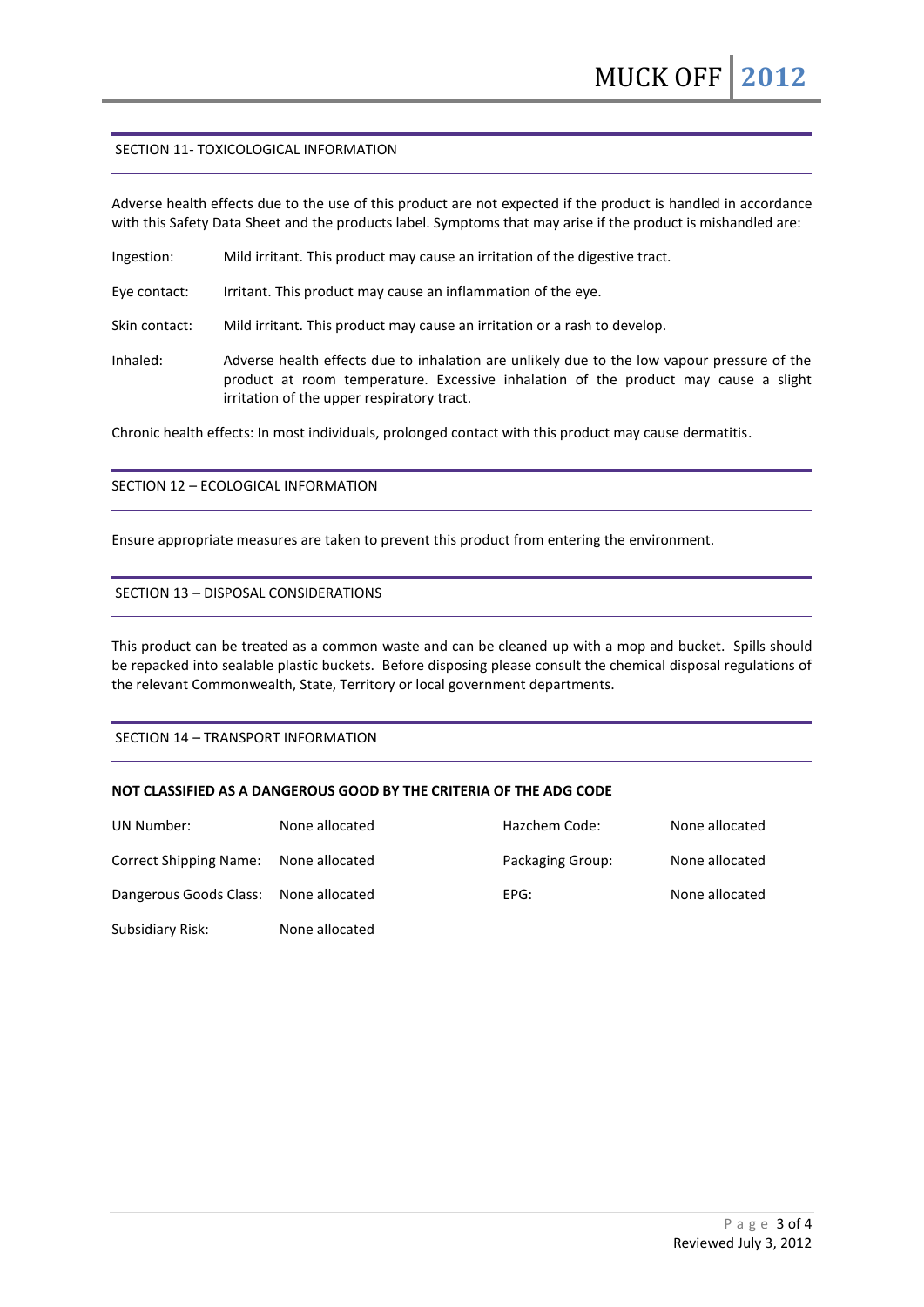### SECTION 11- TOXICOLOGICAL INFORMATION

Adverse health effects due to the use of this product are not expected if the product is handled in accordance with this Safety Data Sheet and the products label. Symptoms that may arise if the product is mishandled are:

Ingestion: Mild irritant. This product may cause an irritation of the digestive tract.

Eye contact: Irritant. This product may cause an inflammation of the eye.

Skin contact: Mild irritant. This product may cause an irritation or a rash to develop.

Inhaled: Adverse health effects due to inhalation are unlikely due to the low vapour pressure of the product at room temperature. Excessive inhalation of the product may cause a slight irritation of the upper respiratory tract.

Chronic health effects: In most individuals, prolonged contact with this product may cause dermatitis.

# SECTION 12 – ECOLOGICAL INFORMATION

Ensure appropriate measures are taken to prevent this product from entering the environment.

### SECTION 13 – DISPOSAL CONSIDERATIONS

This product can be treated as a common waste and can be cleaned up with a mop and bucket. Spills should be repacked into sealable plastic buckets. Before disposing please consult the chemical disposal regulations of the relevant Commonwealth, State, Territory or local government departments.

SECTION 14 – TRANSPORT INFORMATION

## **NOT CLASSIFIED AS A DANGEROUS GOOD BY THE CRITERIA OF THE ADG CODE**

| UN Number:                            | None allocated | Hazchem Code:    | None allocated |
|---------------------------------------|----------------|------------------|----------------|
| <b>Correct Shipping Name:</b>         | None allocated | Packaging Group: | None allocated |
| Dangerous Goods Class: None allocated |                | EPG:             | None allocated |
| Subsidiary Risk:                      | None allocated |                  |                |